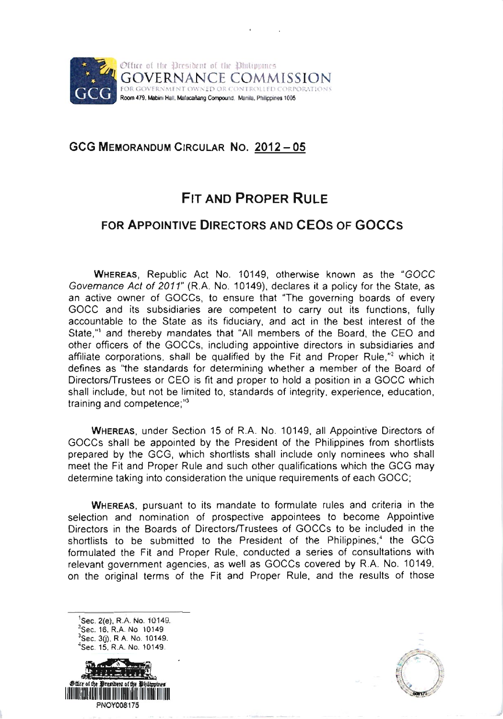

## GCG MEMORANDUM CIRCULAR NO. 2012-05

# **FIT AND PROPER RULE**

# FoR APPoINTIVE DIRECToRS AND CEOS oF GOCCS

WHEREAS, Republic Act No. 10149, otherwise known as the "GOCC Govemance Act of 2011" (R.A. No. 10149), declares it a policy for the State, as an active owner of GOCCS, to ensure that "The governing boards of every GOCC and its subsidiaries are competent to carry out its functions, fully accountable to the State as its fiduciary, and act in the best interest of the State,"' and thereby mandates that "All members of the Board, the CEO and other officers of the GOCCs, including appointive directors in subsidiaries and affiliate corporations, shall be qualified by the Fit and Proper Rule,"<sup>2</sup> which it defines as "the standards for determining whether a member of the Board of Directors/Trustees or CEO is fit and proper to hold a position in a GOCC which shall include, but not be limited to, standards of integrity, experience, education, training and competence;"<sup>3</sup>

WHEREAS, under Section 15 of R.A. No. 10149, all Appointive Directors of GOCCS shall be appointed by the President of the Philippines from shortlists prepared by the GCG, which shortlists shall include only nominees who shall meet the Fit and Proper Rule and such other qualifications which the GCG may determine taking into consideration the unique requirements of each GOCC;

WHEREAS, pursuant to its mandate to formulate rules and criteria in the selection and nomination of prospective appointees to become Appointive Directors in the Boards of Directors/Trustees of GOCCS to be included in the shortlists to be submitted to the President of the Philippines,<sup>4</sup> the GCG formulated the Fit and Proper Rule, conducted a series of consultations with relevant government agencies, as well as GOCCS covered by R.A. No. 10149, on the original terms of the Fit and Proper Rule, and the results of those

<sup>1</sup>Sec. 2(e). R.A. No. 10149.  $2$ Sec. 16, R.A. No 10149 <sup>3</sup>Sec. 3(j), R A. No. 10149.<br><sup>1</sup>Sec. 15, R.A. No. 10149.



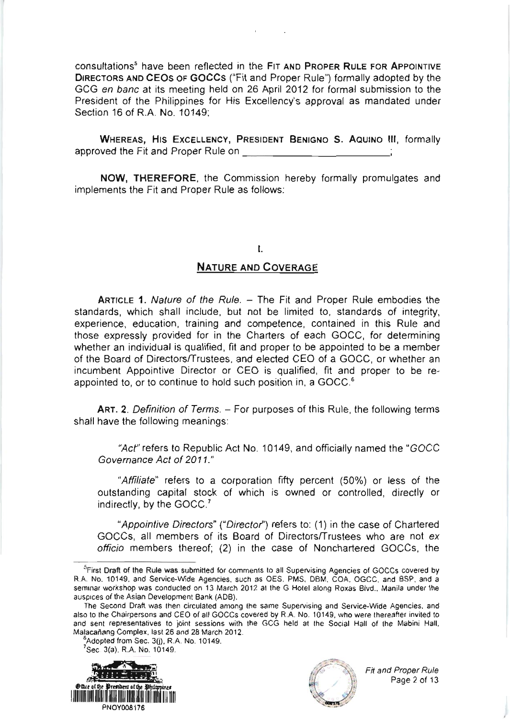consultations<sup>5</sup> have been reflected in the FIT AND PROPER RULE FOR APPOINTIVE DIRECTORS AND CEOS OF GOCCS ("Fit and Proper Rule") formally adopted by the GCG en banc at its meeting held on 26 April 2012 for formal submission to the President of the Philippines for His Excellency's approval as mandated under Section 16 of R.A. No. 10149;

WHEREAS, HIS EXCELLENCY, PRESIDENT BENIGNO S. AQUINO III, formally approved the Fit and Proper Rule on \_:

NOW, THEREFORE, the Commission hereby formally promulgates and implements the Fit and Proper Rule as follows:

#### t.

### NATURE AND CoVERAGE

**ARTICLE 1. Nature of the Rule. - The Fit and Proper Rule embodies the** standards, which shall include, but not be limited to, standards of integrity, experience, education, training and competence, contained in this Rule and those expressly provided for in the Charters of each GOCC, for determining whether an individual is qualified, fit and proper to be appointed to be a member of the Board of Directors/Trustees, and elected CEO of a GOCC, or whether an incumbent Appointive Director or CEO is qualified, fit and proper to be reappointed to, or to continue to hold such position in, a GOCC.6

ART. 2. Definition of Terms. - For purposes of this Rule, the following terms shall have the following meanings:

"Act" refers to Republic Act No. 10149, and officially named the "GOCC Govemance Act of 2011."

"Affiliate" refers to a corporation fifty percent (50%) or less of the outstanding capital stock of which is owned or controlled, directly or indirectly, by the GOCC.<sup>7</sup>

"Appointive Directors" ("Director") refers to: (1) in the case of Chartered GOCCS, all members of its Board of Directors/Trustees who are not ex officio members thereof; (2) in the case of Nonchartered GOCCs, the

 ${}^{6}$ Adopted from Sec. 3(j), R.A. No. 10149.<br><sup>7</sup>Sec. 3(a), R.A. No. 10149.





<sup>&</sup>lt;sup>5</sup> First Draft of the Rule was submitted for comments to all Supervising Agencies of GOCCs covered by R.A. No. 10149, and Service-Wide Agencies, such as OES, PMS, DBM, COA, OGCC, and BSP, and a seminar workshop was conducted on 13 March 2012 at the G Hotel along Roxas Blvd., Manila under the auspices of the Asian Development Bank (ADB).

The Second Draft was then circulated among the same Supervising and Service-Wide Agencies, and also to the Chairpersons and CEO of all GOCCs covered by R.A. No. 10149, who were thereafter invited to and sent representatives to joint sessions with the GCG held at the Social Hall of the Mabini Hall, Malacañang Complex, last 26 and 28 March 2012.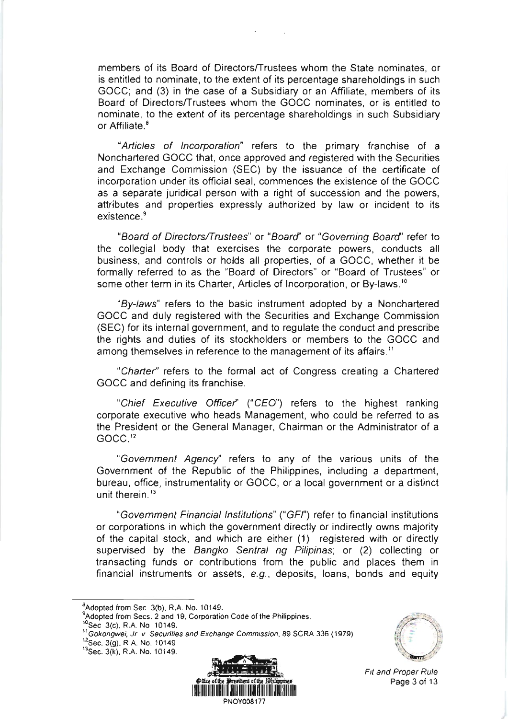members of its Board of Directors/Trustees whom the State nominates, or is entitled to nominate, to the extent of its percentage shareholdings in such GOCC; and (3) in the case of a Subsidiary or an Affiliate, members of its Board of Directors/Trustees whom the GOCC nominales, or is entitled to nominate, to the extent of its percentage shareholdings in such Subsidiary or Affiliate  $8$ 

"Articles of Incorporation" refers to the primary franchise of a Nonchartered GOCC that, once approved and registered with the Securities and Exchange Commission (SEC) by the issuance of the certificate of incorporation under its official seal, commences the existence of the GOCC as a separate juridical person with a right of succession and the powers, attributes and properties expressly authorized by law or incident to its existence.<sup>9</sup>

"Board of Directors/Trustees" or "Board" or "Governing Board" refer to the collegial body that exercises the corporate powers, conducts all business, and controls or holds all properties, of a GOCC, whether it be formally referred to as the "Board of Directors" or "Board of Trustees" or some other term in its Charter, Articles of Incorporation, or By-laws.<sup>10</sup>

"By-laws" refers to the basic instrument adopted by a Nonchartered GOCC and duly registered with the Securities and Exchange Commission (SEC) for its internal government, and to regulate the conduct and prescribe the rights and duties of its stockholders or members to the GOCC and among themselves in reference to the management of its affairs.<sup>11</sup>

"Charter" refers to the formal act of Congress creating a Chartered GOCC and defining its franchise.

"Chief Executive Officer" ("CEO") refers to the highest ranking corporate execulive who heads Management, who could be referred to as the President or the General Manager, Chairman or the Administrator of a GOCC."

"Govemment Agency'' reters to any of the various units of the Government of the Republic of the Philippines, including a department, bureau, office, instrumentality or GOCC, or a local government or a distinct unit therein.'3

"Govemment Financial lnstitutions" ("GFI') refer to financial institutions or corporations in which the government directly or indirectly owns majority of the capital stock, and which are either (1) registered with or directly supervised by the Bangko Sentral ng Pilipinas; or (2) collecting or transacting funds or contributions from the public and places them in financial instruments or assets,  $e.g.,$  deposits, loans, bonds and equity

<sup>s</sup>Adopted from Sec 3(b), R.A. No. 10149.<br><sup>9</sup>Adopted from Secs. 2 and 19, Corporation Code of the Philippines.

 $^{12}$ Sec. 3(g), R A, No. 10149.  $^{13}$ Sec. 3(k), R.A. No. 10149.





Fil and Proper Rule

<sup>&</sup>lt;sup>10</sup>Sec 3(c), R.A. No 10149.

<sup>&</sup>lt;sup>11</sup> Gokongwei, Jr v Secunties and Exchange Commission, 89 SCRA 336 (1979)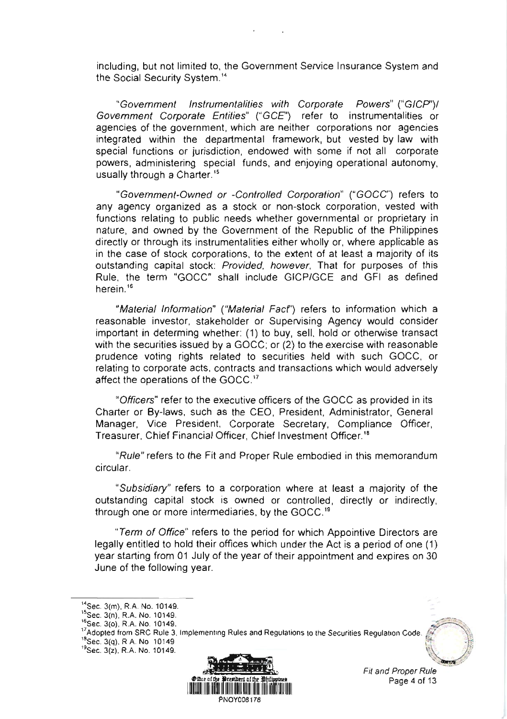including, but not limited to, the Government Service lnsurance System and the Social Security System.''

"Government Instrumentalities with Corporate Powers" ("GICP")/ Government Corporate Entities" ("GCE") refer to instrumentalities or agencies of the government, which are neither corporations nor agencies integrated within the departmental framework, but vested by law with special functions or jurisdiction, endowed with some if not all corporate powers, administering special funds, and enjoying operational autonomy, usually through a Charter.<sup>15</sup>

"Govemment-Owned or -Controlled Corporation" ("GOCC") refers to any agency organized as a stock or non-stock corporation, vested with functions relating to public needs whether governmental or proprietary in nature, and owned by the Government of the Republic of the Philippines directly or through its instrumentalities either wholly or, where applicable as in the case of stock corporations, to the extent of at least a majority of its outstanding capital stock: Provided, however. That for purposes of this Rule, the term "GOCC" shall include GICP/GCE and GFI as defined herein.'6

"Material Information" ("Material Fact") refers to information which a reasonable investor, stakeholder or Supervising Agency would consider important in determing whether: (1) to buy, sell, hold or otherwise transact with the securities issued by a GOCC; or (2) to the exercise with reasonable prudence voting rights related to securities held with such GOCC, or relating to corporate acts, contracts and transactions which would adversely affect the operations of the GOCC. ''

"Officers" refer to the executive officers of the GOCC as provided in its Charter or By-laws, such as the CEO, President, Administrator, General Manager, Vice President, Corporate Secretary, Compliance Otficer, Treasurer, Chief Financial Officer, Chief lnvestment Officer.'3

"Rule" refers to the Fit and Proper Rule embodied in this memorandum circular.

"Subsidiary" refers to a corporation where at least a majority of the outstanding capital stock is owned or controlled, directly or indirectly, through one or more intermediaries, by the GOCC.''

"Tem of Office" refers to the period for which Appointive Directors are legally entitled to hold their offices which under the Act is a period of one (1) year starting from 01 July of the year of their appointment and expires on 30 June of the following year.

 $^{17}$ Adopled from SRC Rule 3, Implementing Rules and Regulations to the Securities Regulation Code.  $^{18}$ Sec. 3(q), R A. No  $-10149$ 

 $^{19}$ Sec. 3(z), R.A. No. 10149.



Fit and Proper Rule Page 4 of 13

<sup>&</sup>lt;sup>14</sup>Sec. 3(m), R.A. No. 10149.

<sup>&</sup>lt;sup>15</sup>Sec. 3(n), R.A. No. 10149.<br><sup>16</sup>Sec. 3(o), R.A. No. 10149.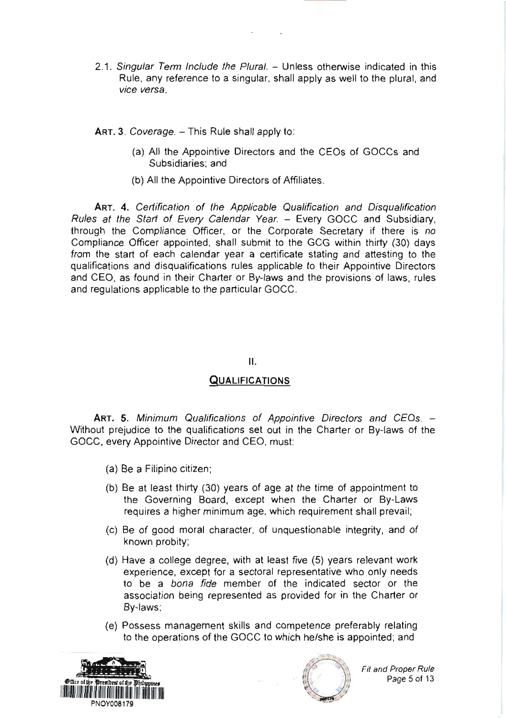2.1. Singular Term Include the Plural. - Unless otherwise indicated in this Rule, any reference to a singular, shall apply as well to the plural, and vice versa.

ART. 3. Coverage. - This Rule shall apply to:

- (a) All the Appointive Directors and the CEOs of GOCCs and Subsidiaries: and
- (b) All the Appointive Directors of Affiliates.

ART. 4. Certification of the Applicable Qualification and Disqualification Rules at the Start of Every Calendar Year. - Every GOCC and Subsidiary. through the Compliance Officer, or the Corporate Secretary if there is no Compliance Officer appointed, shall submit to the GCG within thirty (30) days from the start of each calendar year a certificate stating and attesting to the qualifications and disqualifications rules applicable to their Appointive Directors and CEO, as found in their Charter or By-laws and the provisions of laws, rules and regulations applicable to the particular GOCC.

### $II.$

### **QUALIFICATIONS**

ART. 5. Minimum Qualifications of Appointive Directors and CEOs. -Without prejudice to the qualifications set out in the Charter or By-laws of the GOCC, every Appointive Director and CEO, must:

- (a) Be a Filipino citizen;
- (b) Be at least thirty (30) years of age at the time of appointment to the Governing Board, except when the Charter or By-Laws requires a higher minimum age, which requirement shall prevail;
- (c) Be of good moral character, of unquestionable integrity, and of known probity;
- (d) Have a college degree, with at least five (5) years relevant work experience, except for a sectoral representative who only needs to be a bona fide member of the indicated sector or the association being represented as provided for in the Charter or By-laws;
- (e) Possess management skills and competence preferably relating to the operations of the GOCC to which he/she is appointed; and





**Fit and Proper Rule** Page 5 of 13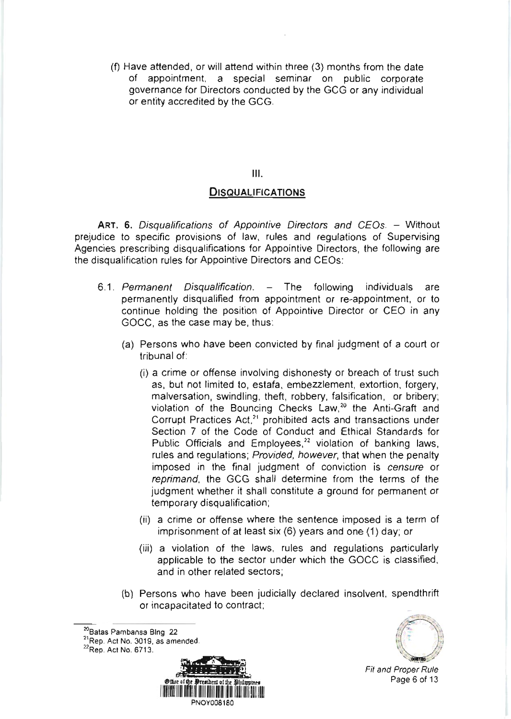(0 Have attended, or will attend within three (3) months from the date of appointment, a special seminar on public corporate governance for Directors conducted by the GCG or any individual or entity accredited by the GCG.

 $III.$ 

#### **DISQUALIFICATIONS**

ART. 6. Disqualifications of Appointive Directors and CEOs. - Without prejudice to specific provisions of law, rules and regulations of Supervising Agencies prescribing disqualifications for Appointive Directors, the following are the disqualification rules for Appointive Directors and CEOs:

- 6.1. Permanent Disqualification. The following individuals are permanently disqualified from appointment or re-appoinlment, or to continue holding the position of Appointive Oirector or CEO in any GOCC, as the case may be, thus:
	- (a) Persons who have been convicted by final judgment of a court or tribunal of:
		- (i) a crime or offense involving dishonesty or breach of trust such as, but not limited to, estafa, embezzlement, extortion, forgery, malversation, swindling, theft, robbery, falsification, or bribery; violation of the Bouncing Checks Law,<sup>20</sup> the Anti-Graft and Corrupt Practices Act,<sup>21</sup> prohibited acts and transactions under Section 7 of the Code of Conduct and Ethical Standards for Public Officials and Employees,<sup>22</sup> violation of banking laws, rules and regulations; Provided, however, that when the penalty imposed in the final judgment of conviction is censure or reprimand, the GCG shall determine from the terms of the judgment whether it shall constitute a ground for permanent or temporary disqualification;
		- (ii) a crime or offense where the sentence imposed is a term of imprisonment of at least six  $(6)$  years and one  $(1)$  day; or
		- (iii) a violation of the laws, rules and regulations particularly applicable to the sector under which the GOCC is classified, and in other related sectors;
	- (b) Persons who have been judicially declared insolvent, spendthrift or incapacitaled to contract;

 $^{22}$ Rep. Act No. 6713.





Fit and Proper Rule Page 6 of 13

<sup>&</sup>lt;sup>20</sup>Batas Pambansa Blng 22

 $21$ Rep. Act No. 3019, as amended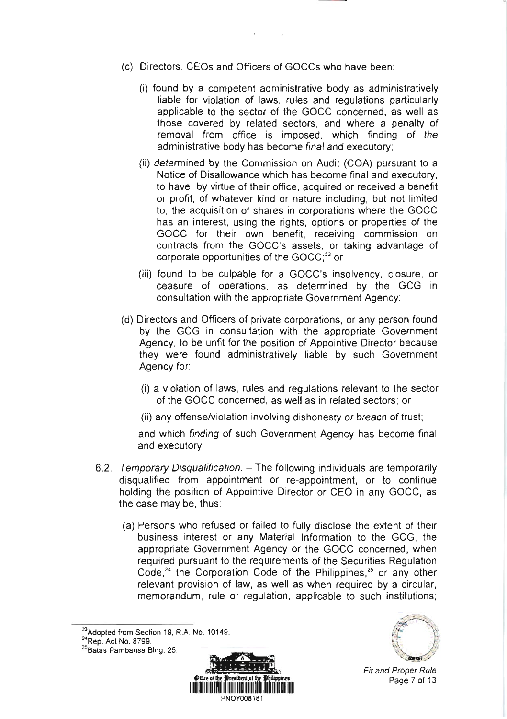- (c) Directors, CEOS and Officers of GOCCS who have been:
	- (i) found by a competent administrative body as administratively liable for violation of laws, rules and regulations particularly applicable to the sector of the GOCC concerned, as well as those covered by relaied sectors, and where a penalty of removal from office is imposed, which finding of the administrative body has become final and executory;
	- (ii) determined by the Commission on Audit (COA) pursuant to a Notice of Disallowance which has become final and executory, to have, by virtue of their office, acquired or received a benefit or profit, of whatever kind or nature including, but not limited to, the acquisition of shares in corporations where the GOCC has an interest, using the rights, options or properties of the GOCC for their own benefit, receiving commission on contracts from the GOCC'S assets, or taking advantage of corporate opportunities of the  $GOCC<sub>1</sub><sup>23</sup>$  or
	- (iii) found to be culpable for a GOCC'S insolvency, closure, or ceasure of operations, as determined by the GCG in consultation with the appropriate Government Agency;
- (d) Directors and Officers of private corporations, or any person found by the GCG in consultation with the appropriate Government Agency, to be unfit for the position of Appointive Director because they were found administratively liable by such Government Agency for:
	- (i) a violation of laws, rules and regulations relevant to the sector of the GOCC concerned, as well as in related sectors; or
	- (ii) any offense/violation involving dishonesty or breach of trust;

and which finding of such Government Agency has become final and executory.

- 6.2. Temporary Disqualification. The following individuals are temporarily disqualified from appointment or re-appointment, or to continue holding the position of Appointive Director or CEO in any GOCC, as the case may be, thus:
	- (a) Persons who refused or failed to fully disclose the extent of their business interest or any Material lnformation to the GCG, the appropriate Government Agency or the GOCC concerned, when required pursuant to the requirements of the Securities Regulation Code, $24$  the Corporation Code of the Philippines, $25$  or any other relevant provision of law, as well as when required by a circular, memorandum, rule or regulation, applicable to such institutions;

 $\frac{^{23}$ Adopted from Section 19, R.A. No. 10149.<br><sup>24</sup>Rep. Act No. 8799.

<sup>&</sup>lt;sup>25</sup> Batas Pambansa Blng. 25.





Fit and Proper Rule Page 7 of 13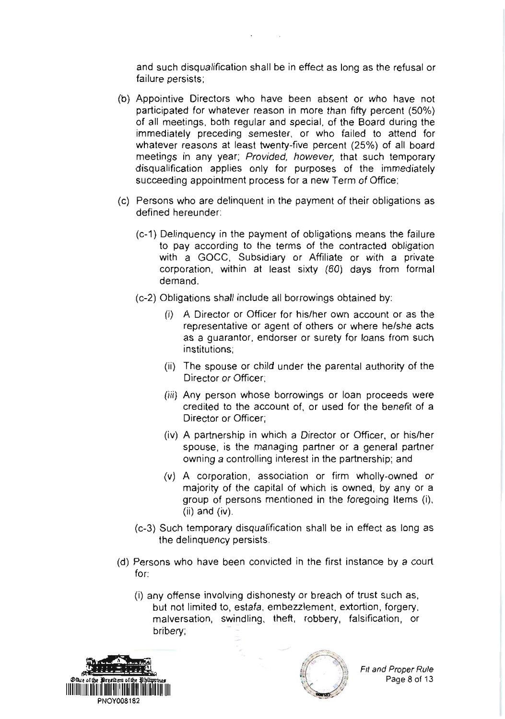and such disqualification shall be in effect as long as the refusal or failure persists;

- (b) Appointive Directors who have been absent or who have not participated for whatever reason in more than fifty percent (50%) of all meetings, both regular and special, of the Board during the immediately preceding semester, or who failed to attend for whatever reasons at least twenty-five percent (25%) of all board meetings in any year, Provided, however, that such temporary disqualification applies only for purposes of the immediately succeeding appointment process for a new Term of Office;
- (c) Persons who are delinquent in the payment of their obligations as defined hereunder:
	- (c-1) Delinquency in the payment of obligations means the failure to pay according to the terms of the contracted obligation with a GOCC, Subsidiary or Affiliate or with a private corporation, within at least sixty (60) days from formal demand.
	- (c-2) Obligations shall include all borrowings obtained by:
		- (i) A Director or Officer for his/her own account or as the representative or agent of others or where he/she acts as a guarantor, endorser or surety for loans from such institutions:
		- (ii) The spouse or child under the parental authority of the Director or Officer:
		- (iii) Any person whose borrowings or loan proceeds were credited to the account of. or used for the benefit of a Director or Officer;
		- (iv) A partnership in which a Director or Offlcer, or his/her spouse, is the managing partner or a general partner owning a controlling interest in the partnership; and
		- (v) A corporation, association or firm wholly-owned or majority of the capital of which is owned, by any or a group of persons mentioned in the foregoing ltems (i),  $(ii)$  and  $(iv)$ .
	- (c-3) Such temporary disqualification shall be in effect as long as the delinquency persists.
- (d) Persons who have been convicted in the first instance by a court for:
	- (i) any ofiense involving dishonesty or breach of trust such as, but not limited to, estafa, embezzlement, extortion, forgery, malversation, swindling, theft, robbery, falsification, or bribery;





Fit and Proper Rule Page 8 of 13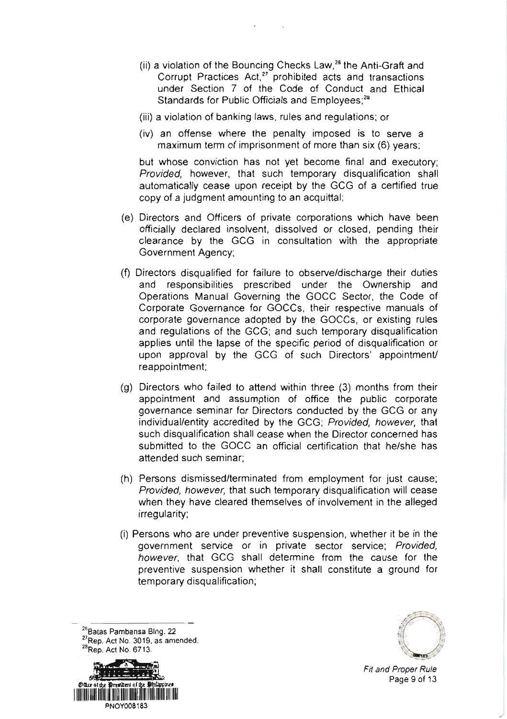- (ii) a violation of the Bouncing Checks Law, $^{26}$  the Anti-Graft and Corrupt Practices Act,<sup>27</sup> prohibited acts and transactions under Section 7 of the Code of Conduct and Ethical Standards for Public Officials and Employees;<sup>28</sup>
- (iii) a violation of banking laws, rules and regulations; or
- (iv) an offense where the penalty imposed is to serve a maximum term of imprisonment of more than six (6) years;

but whose conviction has not yet become final and executory; Provided, however, that such temporary disqualification shall automatically cease upon receipt by the GCG of a certifled true copy of a judgment amounting to an acquittal;

- (e) Directors and Officers of private corporations which have been officially declared insolvent, dissolved or closed, pending their clearance by the GCG in consultation with the appropriate Government Agency;
- (f) Directors disqualified for failure to observe/discharge their duties and responsibilities prescribed under the Ownership and Operations Manual Governing the GOCC Sector, the Code of Corporate Governance for GOCCS, their respective manuals of corporate governance adopted by the GOCCS, or existing rules and regulations of the GCG; and such temporary disqualification applies until the lapse of the specific period of disqualification or upon approval by the GCG of such Directors' appointment/ reappointment;
- (g) Directors who failed to attend within three (3) months from their appointment and assumption of office the public corporate governance seminar for Directors conducted by the GCG or any individual/entity accredited by the GCG; Provided, however, that such disqualification shall cease when the Director concerned has submitted to the GOCC an official certification that he/she has attended such seminar:
- (h) Persons dismissed/terminated from employment for just cause; Provided, however, that such temporary disqualification will cease when they have cleared themselves of involvement in the alleged irregularity;
- (i) Persons who are under preventive suspension, whether it be in the government service or in private sector service; Provided, however, that GCG shall determine from the cause for the preventive suspension whether it shall constitute a ground for temporary disqualification;

<sup>36</sup> Batas Pambansa Blng. 22  $^{27}$ Rep. Act No. 3019, as amended.<br> $^{28}$ Rep. Act No. 6713.





Fit and Proper Rule Page 9 of 13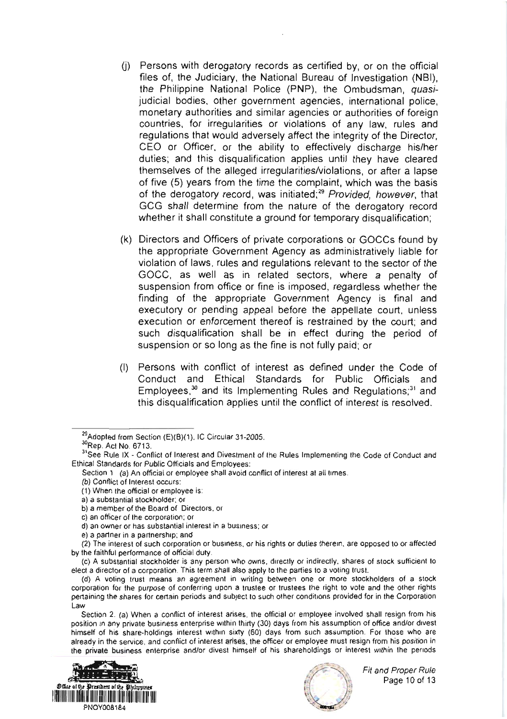- (j) Persons with derogatory records as certified by, or on the official files of, the Judiciary, the National Bureau of Investigation (NBI). the Philippine National Police (PNP), the Ombudsman, quasijudicial bodies, other government agencies, international police, monetary authorities and similar agencies or authorities of foreign countries, for irregularities or violations of any law, rules and regulations that would adversely affect the integrity of the Director. CEO or Officer, or the ability to effectively discharge his/her duties, and this disqualification applies until they have cleared themselves of the alleged irregularities/violations, or after a lapse of five (5) years from the time the complaint, which was the basis of the derogatory record, was initiated;<sup>29</sup> Provided, however, that GCG shall determine from the nature of the derogatory record whether it shall constitute a ground for temporary disqualification;
- (k) Directors and Officers of private corporations or GOCCs found by the appropriate Government Agency as administratively liable for violation of laws, rules and regulations relevant to the sector of the GOCC, as well as in related sectors, where a penalty of suspension from office or fine is imposed, regardless whether the finding of the appropriate Government Agency is final and executory or pending appeal before the appellate court, unless execution or enforcement thereof is restrained by the court; and such disqualification shall be in effect during the period of suspension or so long as the fine is not fully paid; or
- (1) Persons with conflict of interest as defined under the Code of Conduct and Ethical Standards for Public Officials and Employees,<sup>30</sup> and its Implementing Rules and Regulations;<sup>31</sup> and this disqualification applies until the conflict of interest is resolved.

Section 2. (a) When a conflict of interest arises, the official or employee involved shall resign from his position in any private business enterprise within thirty (30) days from his assumption of office and/or divest himself of his share-holdings interest within sixty (60) days from such assumption. For those who are already in the service, and conflict of interest arises, the officer or employee must resign from his position in the private business enterprise and/or divest himself of his shareholdings or interest within the periods





<sup>&</sup>lt;sup>29</sup>Adopted from Section (E)(B)(1), IC Circular 31-2005.

<sup>&</sup>lt;sup>30</sup>Rep. Act No. 6713.

<sup>&</sup>lt;sup>31</sup>See Rule IX - Conflict of Interest and Divestment of the Rules Implementing the Code of Conduct and Ethical Standards for Public Officials and Employees:

Section 1 (a) An official or employee shall avoid conflict of interest at all times.

<sup>(</sup>b) Conflict of Interest occurs:

<sup>(1)</sup> When the official or employee is:

a) a substantial stockholder; or

b) a member of the Board of Directors, or

c) an officer of the corporation; or

d) an owner or has substantial interest in a business; or

e) a partner in a partnership; and

<sup>(2)</sup> The interest of such corporation or business, or his rights or duties therein, are opposed to or affected by the faithful performance of official duty.

<sup>(</sup>c) A substantial stockholder is any person who owns, directly or indirectly, shares of stock sufficient to elect a director of a corporation. This term shall also apply to the parties to a voting trust.

<sup>(</sup>d) A voting trust means an agreement in writing between one or more stockholders of a stock corporation for the purpose of conferring upon a trustee or trustees the right to vote and the other rights pertaining the shares for certain periods and subject to such other conditions provided for in the Corporation Law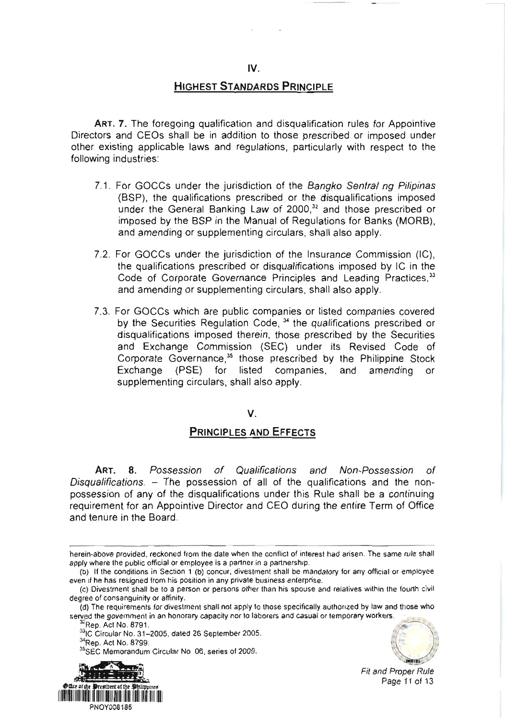### **HIGHEST STANDARDS PRINCIPLE**

ART. 7. The foregoing qualification and disqualification rules for Appointive Directors and CEOS shall be in addition to those prescribed or imposed under other existing applicable laws and regulations, particularly with respect to the following industries:

- 7.1. For GOCCs under the jurisdiction of the Bangko Sentral ng Pilipinas (BSP), the qualifications prescribed or the disqualifications imposed under the General Banking Law of 2000.<sup>32</sup> and those prescribed or imposed by the BSP in the Manual of Regulations for Banks (MoRB), and amending or supplementing circulars, shall also apply.
- 7.2. For GOCCS under the jurisdiction of the lnsurance Commission (lC), the qualifications prescribed or disqualifications imposed by lC in the Code of Corporate Governance Principles and Leading Practices,<sup>33</sup> and amending or supplementing circulars, shall also apply.
- 7.3. For GOCCS which are public companies or listed companies covered by the Securities Regulation Code,  $34$  the qualifications prescribed or disqualifications imposed therein, those prescribed by the Securities and Exchange Commission (SEC) under its Revised Code of Corporate Governance,\* those prescribed by the Philippine Stock Exchange (PSE) for listed companies, and amending or supplementing circulars, shall also apply.

#### V.

### PRINCIPLES AND EFFECTS

ART. 8. Possession of Qualifications and Non-Possession of Disqualifications.  $-$  The possession of all of the qualifications and the nonpossession of any of the disqualifications under this Rule shall be a continuing requirement for an Appointive Director and CEO during the entire Term of Office and tenure in the Board.

<sup>33</sup>IC Circular No. 31–2005, dated 26 September 2005.<br><sup>34</sup>Rep. Act No. 8799.

35SEC Memorandum Circular No 06, series of 2009.





Fit and Proper Rule Page 11 of 13

herein-above provided, reckoned from the date when the conflict of interest had arisen. The same rule shall

apply where the public official or employee is a partner in a partnership.<br>(b) If the conditions in Section 1 (b) concur, divestment shall be mandatory for any official or employee even if he has resigned from his position in any private business enterprise.

<sup>(</sup>c) Divestment shall be to a person or persons other than his spouse and relatives within the fourth civil degree of consanguinity or affinity.

<sup>(</sup>d) The requirements for divestment shall not apply to those specifically authorized by law and those who served the government in an honorary capacity nor to laborers and casual or temporary workers.<br><sup>32</sup>Rep. Act No. 8791.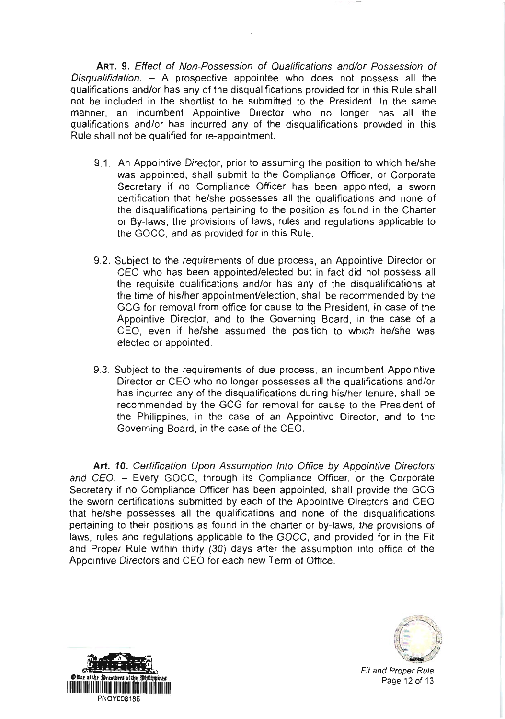ART. 9. Effect of Non-Possession of Qualifications and/or Possession of Disqualifidation.  $-$  A prospective appointee who does not possess all the qualifications and/or has any of the disqualifications provided for in this Rule shall not be included in the shortlist to be submitted to the President. ln the same manner, an incumbent Appointive Director who no longer has all the qualifications and/or has incurred any of the disqualifications provided in this Rule shall not be qualified for re-appointment.

- 9.1 . An Appointive Director, prior to assuming the position to which he/she was appointed, shall submit to the Compliance Officer, or Corporate Secretary if no Compliance Officer has been appointed, a sworn certification that he/she possesses all the qualifications and none of the disqualifications pertaining to the position as found in the Charter or By-laws, the provisions of laws, rules and regulations applicable to the GOCC, and as provided for in this Rule.
- 9.2. Subject to the requirements of due process, an Appointive Director or CEO who has been appointed/elected but in fact did not possess all the requisite qualifications and/or has any of the disqualifications at the time of his/her appointment/election, shall be recommended by the GCG for removal from office for cause to the President, in case of the Appointive Director, and to the Governing Board, in the case of a CEO, even if he/she assumed the position to which he/she was elected or appointed.
- 9.3. Subject to the requirements of due process, an incumbent Appointive Director or CEO who no longer possesses all the qualifications and/or has incurred any of the disqualiflcations during his/her tenure, shall be recommended by the GCG for removal for cause to the President of the Philippines, in the case of an Appointive Director, and to the Governing Board, in the case of the CEO.

Art. 10. Certification Upon Assumption Into Office by Appointive Directors and CEO. - Every GOCC, through its Compliance Officer, or the Corporate Secretary if no Compliance Officer has been appointed, shall provide the GCG the sworn certifications submitted by each of the Appointive Directors and CEO that he/she possesses all the qualifications and none of the disqualifications pertaining to their positions as found in the charter or by-laws, the provisions of laws, rules and regulations applicable to the GOCC, and provided for in the Fit and Proper Rule within thirty (30) days after the assumption into office of the Appointive Directors and CEO for each new Term of Office.